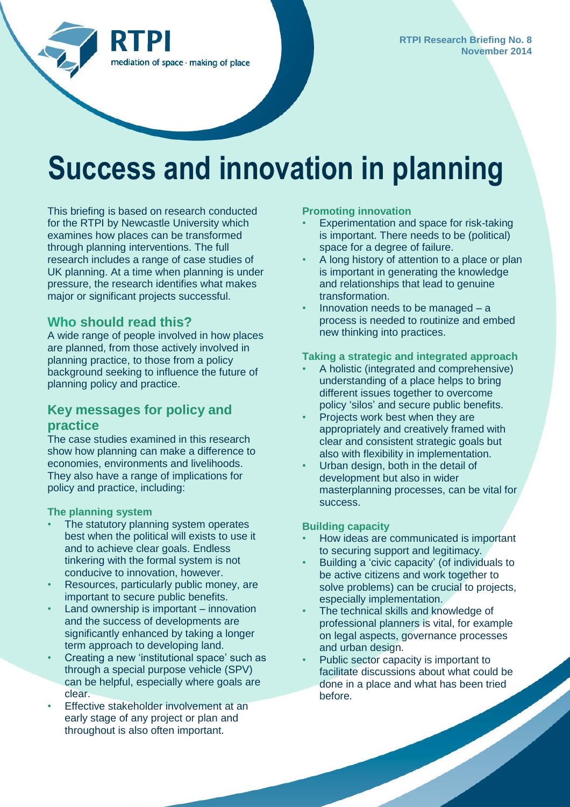

# **Success and innovation in planning**

This briefing is based on research conducted for the RTPI by Newcastle University which examines how places can be transformed through planning interventions. The full research includes a range of case studies of UK planning. At a time when planning is under pressure, the research identifies what makes major or significant projects successful.

## **Who should read this?**

A wide range of people involved in how places are planned, from those actively involved in planning practice, to those from a policy background seeking to influence the future of planning policy and practice.

# **Key messages for policy and practice**

The case studies examined in this research show how planning can make a difference to economies, environments and livelihoods. They also have a range of implications for policy and practice, including:

#### **The planning system**

- The statutory planning system operates best when the political will exists to use it and to achieve clear goals. Endless tinkering with the formal system is not conducive to innovation, however.
- Resources, particularly public money, are important to secure public benefits.
- Land ownership is important innovation and the success of developments are significantly enhanced by taking a longer term approach to developing land.
- Creating a new 'institutional space' such as through a special purpose vehicle (SPV) can be helpful, especially where goals are clear.
- Effective stakeholder involvement at an early stage of any project or plan and throughout is also often important.

#### **Promoting innovation**

- Experimentation and space for risk-taking is important. There needs to be (political) space for a degree of failure.
- A long history of attention to a place or plan is important in generating the knowledge and relationships that lead to genuine transformation.
- Innovation needs to be managed  $-$  a process is needed to routinize and embed new thinking into practices.

## **Taking a strategic and integrated approach**

- A holistic (integrated and comprehensive) understanding of a place helps to bring different issues together to overcome policy 'silos' and secure public benefits.
- Projects work best when they are appropriately and creatively framed with clear and consistent strategic goals but also with flexibility in implementation.
- Urban design, both in the detail of development but also in wider masterplanning processes, can be vital for success.

#### **Building capacity**

- How ideas are communicated is important to securing support and legitimacy.
- Building a 'civic capacity' (of individuals to be active citizens and work together to solve problems) can be crucial to projects, especially implementation.
- The technical skills and knowledge of professional planners is vital, for example on legal aspects, governance processes and urban design.
- Public sector capacity is important to facilitate discussions about what could be done in a place and what has been tried before.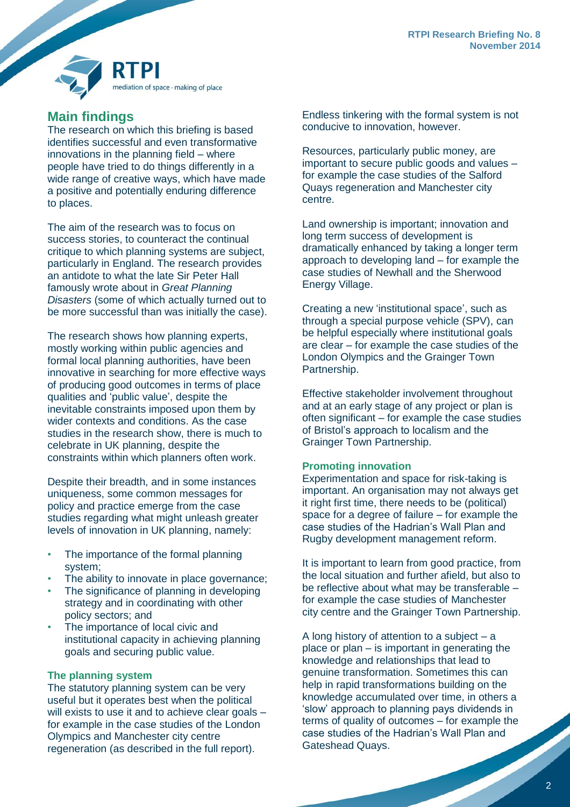

# **Main findings**

The research on which this briefing is based identifies successful and even transformative innovations in the planning field – where people have tried to do things differently in a wide range of creative ways, which have made a positive and potentially enduring difference to places.

The aim of the research was to focus on success stories, to counteract the continual critique to which planning systems are subject, particularly in England. The research provides an antidote to what the late Sir Peter Hall famously wrote about in *Great Planning Disasters* (some of which actually turned out to be more successful than was initially the case).

The research shows how planning experts, mostly working within public agencies and formal local planning authorities, have been innovative in searching for more effective ways of producing good outcomes in terms of place qualities and 'public value', despite the inevitable constraints imposed upon them by wider contexts and conditions. As the case studies in the research show, there is much to celebrate in UK planning, despite the constraints within which planners often work.

Despite their breadth, and in some instances uniqueness, some common messages for policy and practice emerge from the case studies regarding what might unleash greater levels of innovation in UK planning, namely:

- The importance of the formal planning system;
- The ability to innovate in place governance;
- The significance of planning in developing strategy and in coordinating with other policy sectors; and
- The importance of local civic and institutional capacity in achieving planning goals and securing public value.

#### **The planning system**

The statutory planning system can be very useful but it operates best when the political will exists to use it and to achieve clear goals – for example in the case studies of the London Olympics and Manchester city centre regeneration (as described in the full report).

Endless tinkering with the formal system is not conducive to innovation, however.

Resources, particularly public money, are important to secure public goods and values – for example the case studies of the Salford Quays regeneration and Manchester city centre.

Land ownership is important; innovation and long term success of development is dramatically enhanced by taking a longer term approach to developing land – for example the case studies of Newhall and the Sherwood Energy Village.

Creating a new 'institutional space', such as through a special purpose vehicle (SPV), can be helpful especially where institutional goals are clear – for example the case studies of the London Olympics and the Grainger Town Partnership.

Effective stakeholder involvement throughout and at an early stage of any project or plan is often significant – for example the case studies of Bristol's approach to localism and the Grainger Town Partnership.

#### **Promoting innovation**

Experimentation and space for risk-taking is important. An organisation may not always get it right first time, there needs to be (political) space for a degree of failure – for example the case studies of the Hadrian's Wall Plan and Rugby development management reform.

It is important to learn from good practice, from the local situation and further afield, but also to be reflective about what may be transferable – for example the case studies of Manchester city centre and the Grainger Town Partnership.

A long history of attention to a subject – a place or plan – is important in generating the knowledge and relationships that lead to genuine transformation. Sometimes this can help in rapid transformations building on the knowledge accumulated over time, in others a 'slow' approach to planning pays dividends in terms of quality of outcomes – for example the case studies of the Hadrian's Wall Plan and Gateshead Quays.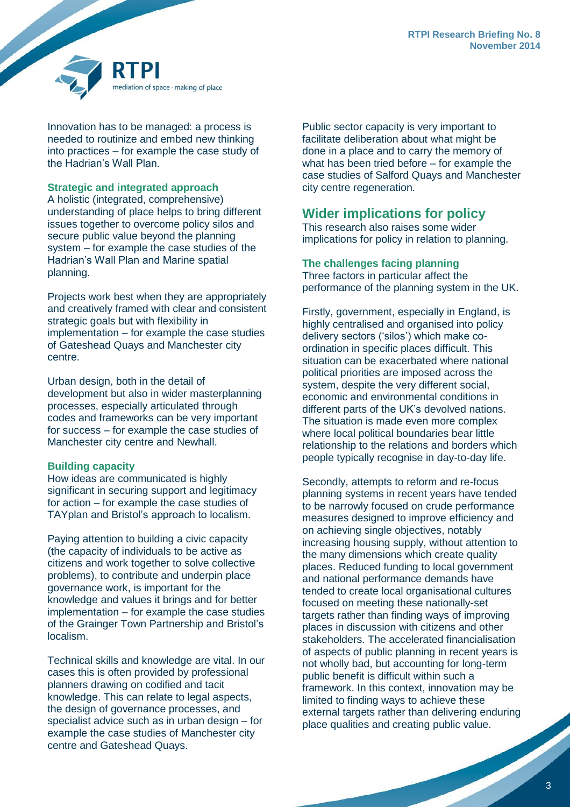

Innovation has to be managed: a process is needed to routinize and embed new thinking into practices – for example the case study of the Hadrian's Wall Plan.

**Strategic and integrated approach**

A holistic (integrated, comprehensive) understanding of place helps to bring different issues together to overcome policy silos and secure public value beyond the planning system – for example the case studies of the Hadrian's Wall Plan and Marine spatial planning.

Projects work best when they are appropriately and creatively framed with clear and consistent strategic goals but with flexibility in implementation – for example the case studies of Gateshead Quays and Manchester city centre.

Urban design, both in the detail of development but also in wider masterplanning processes, especially articulated through codes and frameworks can be very important for success – for example the case studies of Manchester city centre and Newhall.

#### **Building capacity**

How ideas are communicated is highly significant in securing support and legitimacy for action – for example the case studies of TAYplan and Bristol's approach to localism.

Paying attention to building a civic capacity (the capacity of individuals to be active as citizens and work together to solve collective problems), to contribute and underpin place governance work, is important for the knowledge and values it brings and for better implementation – for example the case studies of the Grainger Town Partnership and Bristol's localism.

Technical skills and knowledge are vital. In our cases this is often provided by professional planners drawing on codified and tacit knowledge. This can relate to legal aspects, the design of governance processes, and specialist advice such as in urban design – for example the case studies of Manchester city centre and Gateshead Quays.

Public sector capacity is very important to facilitate deliberation about what might be done in a place and to carry the memory of what has been tried before – for example the case studies of Salford Quays and Manchester city centre regeneration.

# **Wider implications for policy**

This research also raises some wider implications for policy in relation to planning.

## **The challenges facing planning**

Three factors in particular affect the performance of the planning system in the UK.

Firstly, government, especially in England, is highly centralised and organised into policy delivery sectors ('silos') which make coordination in specific places difficult. This situation can be exacerbated where national political priorities are imposed across the system, despite the very different social, economic and environmental conditions in different parts of the UK's devolved nations. The situation is made even more complex where local political boundaries bear little relationship to the relations and borders which people typically recognise in day-to-day life.

Secondly, attempts to reform and re-focus planning systems in recent years have tended to be narrowly focused on crude performance measures designed to improve efficiency and on achieving single objectives, notably increasing housing supply, without attention to the many dimensions which create quality places. Reduced funding to local government and national performance demands have tended to create local organisational cultures focused on meeting these nationally-set targets rather than finding ways of improving places in discussion with citizens and other stakeholders. The accelerated financialisation of aspects of public planning in recent years is not wholly bad, but accounting for long-term public benefit is difficult within such a framework. In this context, innovation may be limited to finding ways to achieve these external targets rather than delivering enduring place qualities and creating public value.